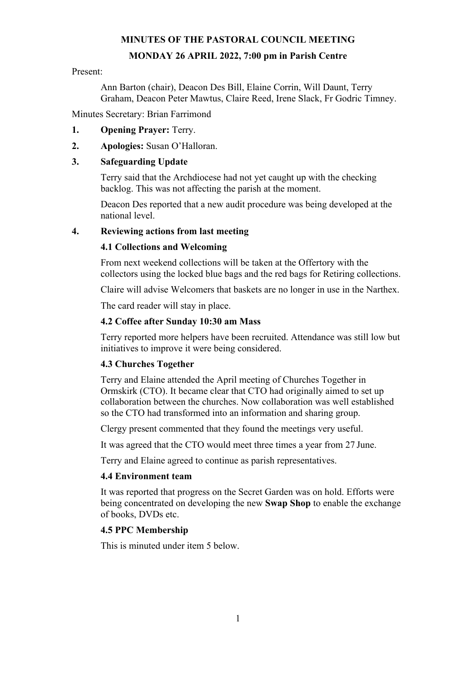# **MINUTES OF THE PASTORAL COUNCIL MEETING MONDAY 26 APRIL 2022, 7:00 pm in Parish Centre**

#### Present:

Ann Barton (chair), Deacon Des Bill, Elaine Corrin, Will Daunt, Terry Graham, Deacon Peter Mawtus, Claire Reed, Irene Slack, Fr Godric Timney.

Minutes Secretary: Brian Farrimond

- **1. Opening Prayer:** Terry.
- **2. Apologies:** Susan O'Halloran.

### **3. Safeguarding Update**

Terry said that the Archdiocese had not yet caught up with the checking backlog. This was not affecting the parish at the moment.

Deacon Des reported that a new audit procedure was being developed at the national level.

### **4. Reviewing actions from last meeting**

### **4.1 Collections and Welcoming**

From next weekend collections will be taken at the Offertory with the collectors using the locked blue bags and the red bags for Retiring collections.

Claire will advise Welcomers that baskets are no longer in use in the Narthex.

The card reader will stay in place.

### **4.2 Coffee after Sunday 10:30 am Mass**

Terry reported more helpers have been recruited. Attendance was still low but initiatives to improve it were being considered.

#### **4.3 Churches Together**

Terry and Elaine attended the April meeting of Churches Together in Ormskirk (CTO). It became clear that CTO had originally aimed to set up collaboration between the churches. Now collaboration was well established so the CTO had transformed into an information and sharing group.

Clergy present commented that they found the meetings very useful.

It was agreed that the CTO would meet three times a year from 27 June.

Terry and Elaine agreed to continue as parish representatives.

#### **4.4 Environment team**

It was reported that progress on the Secret Garden was on hold. Efforts were being concentrated on developing the new **Swap Shop** to enable the exchange of books, DVDs etc.

#### **4.5 PPC Membership**

This is minuted under item 5 below.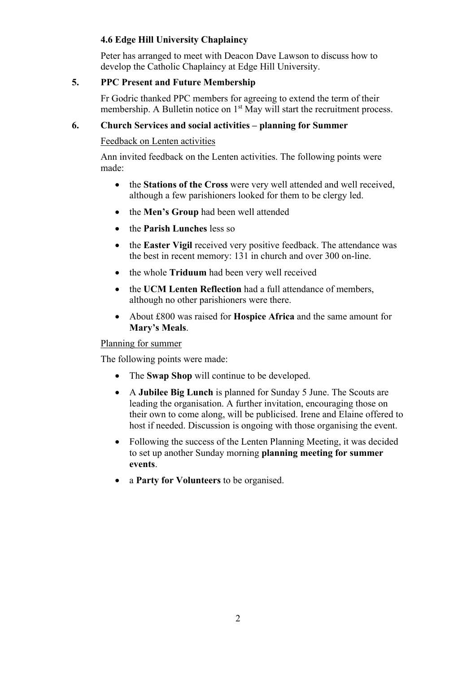# **4.6 Edge Hill University Chaplaincy**

Peter has arranged to meet with Deacon Dave Lawson to discuss how to develop the Catholic Chaplaincy at Edge Hill University.

## **5. PPC Present and Future Membership**

Fr Godric thanked PPC members for agreeing to extend the term of their membership. A Bulletin notice on 1<sup>st</sup> May will start the recruitment process.

## **6. Church Services and social activities – planning for Summer**

Feedback on Lenten activities

Ann invited feedback on the Lenten activities. The following points were made:

- the **Stations of the Cross** were very well attended and well received, although a few parishioners looked for them to be clergy led.
- the **Men's Group** had been well attended
- the **Parish Lunches** less so
- the **Easter Vigil** received very positive feedback. The attendance was the best in recent memory: 131 in church and over 300 on-line.
- the whole **Triduum** had been very well received
- the **UCM Lenten Reflection** had a full attendance of members, although no other parishioners were there.
- About £800 was raised for **Hospice Africa** and the same amount for **Mary's Meals**.

Planning for summer

The following points were made:

- The **Swap Shop** will continue to be developed.
- A **Jubilee Big Lunch** is planned for Sunday 5 June. The Scouts are leading the organisation. A further invitation, encouraging those on their own to come along, will be publicised. Irene and Elaine offered to host if needed. Discussion is ongoing with those organising the event.
- Following the success of the Lenten Planning Meeting, it was decided to set up another Sunday morning **planning meeting for summer events**.
- a **Party for Volunteers** to be organised.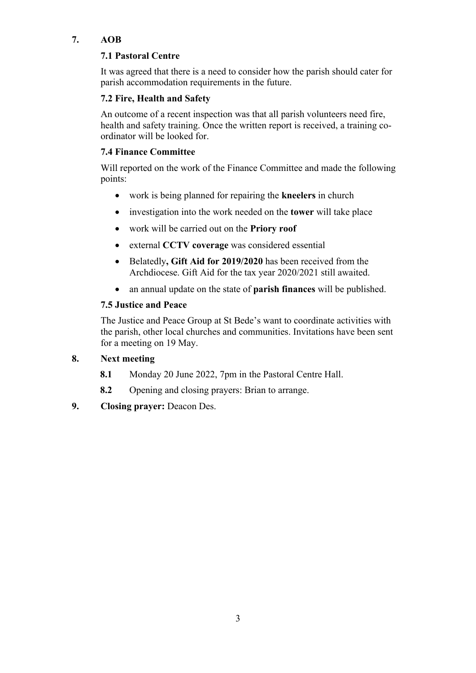# **7. AOB**

# **7.1 Pastoral Centre**

It was agreed that there is a need to consider how the parish should cater for parish accommodation requirements in the future.

# **7.2 Fire, Health and Safety**

An outcome of a recent inspection was that all parish volunteers need fire, health and safety training. Once the written report is received, a training coordinator will be looked for.

# **7.4 Finance Committee**

Will reported on the work of the Finance Committee and made the following points:

- work is being planned for repairing the **kneelers** in church
- investigation into the work needed on the **tower** will take place
- work will be carried out on the **Priory roof**
- external **CCTV coverage** was considered essential
- Belatedly**, Gift Aid for 2019/2020** has been received from the Archdiocese. Gift Aid for the tax year 2020/2021 still awaited.
- an annual update on the state of **parish finances** will be published.

# **7.5 Justice and Peace**

The Justice and Peace Group at St Bede's want to coordinate activities with the parish, other local churches and communities. Invitations have been sent for a meeting on 19 May.

# **8. Next meeting**

- **8.1** Monday 20 June 2022, 7pm in the Pastoral Centre Hall.
- **8.2** Opening and closing prayers: Brian to arrange.
- **9. Closing prayer:** Deacon Des.